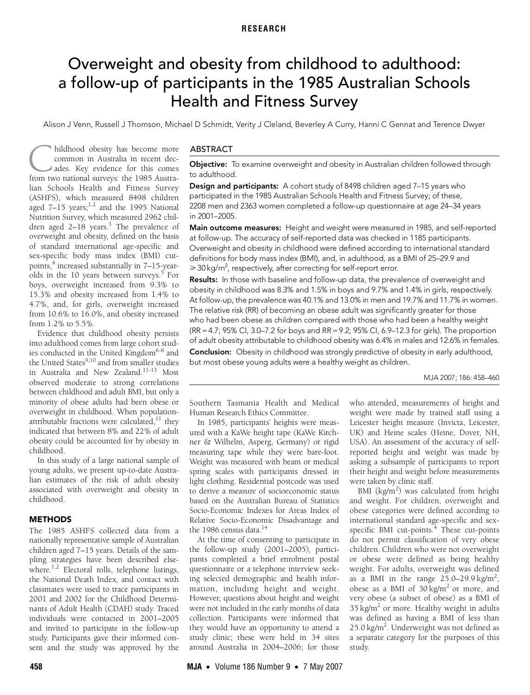### **RESEARCH**

# <span id="page-0-0"></span>Overweight and obesity from childhood to adulthood: a follow-up of participants in the 1985 Australian Schools Health and Fitness Survey

Alison J Venn, Russell J Thomson, Michael D Schmidt, Verity J Cleland, Beverley A Curry, Hanni C Gennat and Terence Dwyer

aged  $7-15$  $7-15$  $7-15$  years;<sup>1,2</sup> and the 1995 [Na](#page-0-0)[tiona](#page-2-12)l Agea *T* 15 years, and the 1335 National<br>Nutrition Survey, which measured 2962 chil- $T_{\text{tot}}$  and  $T_{\text{tot}}$  and  $T_{\text{tot}}$   $\frac{3}{2}$   $T_{\text{tot}}$   $\frac{1}{2}$ dren aged 2–18 years.<sup>3</sup> The prevalence of overweight and obesity, defined on the basis hildhood obesity has become more common in Australia in recent decades. Key evidence for this comes from two national surveys: the 1985 Austra-<br>from two national surveys: the 1985 Australian Schools Health and Fitness Survey (ASHFS), which measured 8498 children of standard international age-specific and sex-specific body mass index (BMI) cut-points,<sup>[4](#page-2-3)</sup> increased substantially in 7-15-year-olds in the 10 years between surveys.<sup>[5](#page-2-4)</sup> For boys, overweight increased from 9.3% to 15.3% and obesity increased from 1.4% to 4.7%, and, for girls, overweight increased from 10.6% to 16.0%, and obesity increased from 1.2% to 5.5%.

Evidence that childhood obesity persists into adulthood comes from large cohort stud-ies conducted in the United Kingdom<sup>[6-](#page-2-5)[8](#page-2-6)</sup> and the United States<sup>[9](#page-2-7),10</sup> and from smaller studies in Australia and New Zealand[.11](#page-2-9)[-13](#page-2-10) Most observed moderate to strong correlations between childhood and adult BMI, but only a minority of obese adults had been obese or overweight in childhood. When populationattributable fractions were calculated, $11$  they indicated that between 8% and 22% of adult obesity could be accounted for by obesity in childhood.

In this study of a large national sample of young adults, we present up-to-date Australian estimates of the risk of adult obesity associated with overweight and obesity in childhood.

#### METHODS

The 1985 ASHFS collected data from a nationally representative sample of Australian children aged 7–15 years. Details of the sampling strategies have been described else-where.<sup>1[,2](#page-2-1)</sup> Electoral rolls, telephone listings, the National Death Index, and contact with classmates were used to trace participants in 2001 and 2002 for the Childhood Determinants of Adult Health (CDAH) study. Traced individuals were contacted in 2001–2005 and invited to participate in the follow-up study. Participants gave their informed consent and the study was approved by the

#### ABSTRACT

Objective: To examine overweight and obesity in Australian children followed through to adulthood.

**Design and participants:** A cohort study of 8498 children aged 7-15 years who participated in the 1985 Australian Schools Health and Fitness Survey; of these, 2208 men and 2363 women completed a follow-up questionnaire at age 24–34 years in 2001–2005.

Main outcome measures: Height and weight were measured in 1985, and self-reported at follow-up. The accuracy of self-reported data was checked in 1185 participants. Overweight and obesity in childhood were defined according to international standard definitions for body mass index (BMI), and, in adulthood, as a BMI of 25–29.9 and  $\geqslant$  30 kg/m<sup>2</sup>, respectively, after correcting for self-report error.

Results: In those with baseline and follow-up data, the prevalence of overweight and obesity in childhood was 8.3% and 1.5% in boys and 9.7% and 1.4% in girls, respectively. At follow-up, the prevalence was 40.1% and 13.0% in men and 19.7% and 11.7% in women. The relative risk (RR) of becoming an obese adult was significantly greater for those who had been obese as children compared with those who had been a healthy weight (RR = 4.7; 95% CI, 3.0–7.2 for boys and RR = 9.2; 95% CI, 6.9–12.3 for girls). The proportion of adult obesity attributable to childhood obesity was 6.4% in males and 12.6% in females. **Conclusion:** Obesity in childhood was strongly predictive of obesity in early adulthood, but most obese young adults were a healthy weight as children.

MJA 2007; 186: 458–460

Southern Tasmania Health and Medical Human Research Ethics Committee.

In 1985, participants' heights were measured with a KaWe height tape (KaWe Kirchner & Wilhelm, Asperg, Germany) or rigid measuring tape while they were bare-foot. Weight was measured with beam or medical spring scales with participants dressed in light clothing. Residential postcode was used to derive a measure of socioeconomic status based on the Australian Bureau of Statistics Socio-Economic Indexes for Areas Index of Relative Socio-Economic Disadvantage and the 1986 census data.<sup>[14](#page-2-11)</sup>

At the time of consenting to participate in the follow-up study (2001–2005), participants completed a brief enrolment postal questionnaire or a telephone interview seeking selected demographic and health information, including height and weight. However, questions about height and weight were not included in the early months of data collection. Participants were informed that they would have an opportunity to attend a study clinic; these were held in 34 sites around Australia in 2004–2006; for those

who attended, measurements of height and weight were made by trained staff using a Leicester height measure (Invicta, Leicester, UK) and Heine scales (Heine, Dover, NH, USA). An assessment of the accuracy of selfreported height and weight was made by asking a subsample of participants to report their height and weight before measurements were taken by clinic staff.

BMI  $(kg/m^2)$  was calculated from height and weight. For children, overweight and obese categories were defined according to international standard age-specific and sexspecific BMI cut-points.<sup>4</sup> These cut-points do not permit classification of very obese children. Children who were not overweight or obese were defined as being healthy weight. For adults, overweight was defined as a BMI in the range  $25.0-29.9$  kg/m<sup>2</sup>, obese as a BMI of  $30 \text{ kg/m}^2$  or more, and very obese (a subset of obese) as a BMI of 35 kg/m<sup>2</sup> or more. Healthy weight in adults was defined as having a BMI of less than 25.0 kg/m<sup>2</sup>. Underweight was not defined as a separate category for the purposes of this study.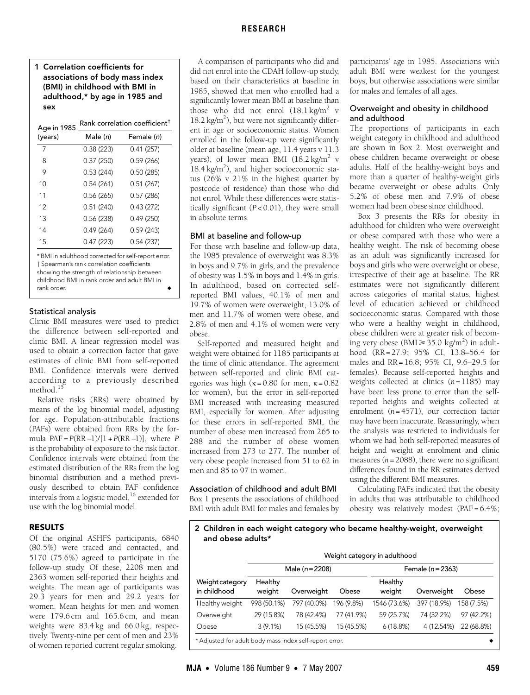1 Correlation coefficients for associations of body mass index (BMI) in childhood with BMI in adulthood,\* by age in 1985 and sex

| Age in 1985 | Rank correlation coefficient <sup>†</sup> |            |  |  |
|-------------|-------------------------------------------|------------|--|--|
| (years)     | Male (n)                                  | Female (n) |  |  |
| 7           | 0.38(223)                                 | 0.41(257)  |  |  |
| 8           | 0.37(250)                                 | 0.59(266)  |  |  |
| 9           | 0.53(244)                                 | 0.50(285)  |  |  |
| 10          | 0.54(261)                                 | 0.51(267)  |  |  |
| 11          | 0.56(265)                                 | 0.57(286)  |  |  |
| 12          | 0.51(240)                                 | 0.43(272)  |  |  |
| 13          | 0.56(238)                                 | 0.49(250)  |  |  |
| 14          | 0.49(264)                                 | 0.59(243)  |  |  |
| 15          | 0.47(223)                                 | 0.54(237)  |  |  |
|             |                                           |            |  |  |

\* BMI in adulthood corrected for self-report error. † Spearman's rank correlation coefficients showing the strength of relationship between childhood BMI in rank order and adult BMI in rank order.

#### Statistical analysis

Clinic BMI measures were used to predict the difference between self-reported and clinic BMI. A linear regression model was used to obtain a correction factor that gave estimates of clinic BMI from self-reported BMI. Confidence intervals were derived according to a previously described method. $<sup>1</sup>$ </sup>

Relative risks (RRs) were obtained by means of the log binomial model, adjusting for age. Population-attributable fractions (PAFs) were obtained from RRs by the formula PAF =*P*(RR −1)/[1 +*P*(RR −1)], where *P* is the probability of exposure to the risk factor. Confidence intervals were obtained from the estimated distribution of the RRs from the log binomial distribution and a method previously described to obtain PAF confidence intervals from a logistic model, $^{16}$  $^{16}$  $^{16}$  extended for use with the log binomial model.

## RESULTS

Of the original ASHFS participants, 6840 (80.5%) were traced and contacted, and 5170 (75.6%) agreed to participate in the follow-up study. Of these, 2208 men and 2363 women self-reported their heights and weights. The mean age of participants was 29.3 years for men and 29.2 years for women. Mean heights for men and women were 179.6 cm and 165.6 cm, and mean weights were 83.4 kg and 66.0 kg, respectively. Twenty-nine per cent of men and 23% of women reported current regular smoking.

A comparison of participants who did and did not enrol into the CDAH follow-up study, based on their characteristics at baseline in

1985, showed that men who enrolled had a significantly lower mean BMI at baseline than those who did not enrol  $(18.1 \text{ kg/m}^2 \text{ v})$ 18.2 kg/m<sup>2</sup>), but were not significantly different in age or socioeconomic status. Women enrolled in the follow-up were significantly older at baseline (mean age, 11.4 years v 11.3 years), of lower mean BMI (18.2 kg/m<sup>2</sup> v  $18.4 \text{ kg/m}^2$ ), and higher socioeconomic status (26% v 21% in the highest quarter by postcode of residence) than those who did not enrol. While these differences were statistically significant (*P* < 0.01), they were small in absolute terms.

### BMI at baseline and follow-up

For those with baseline and follow-up data, the 1985 prevalence of overweight was 8.3% in boys and 9.7% in girls, and the prevalence of obesity was 1.5% in boys and 1.4% in girls. In adulthood, based on corrected selfreported BMI values, 40.1% of men and 19.7% of women were overweight, 13.0% of men and 11.7% of women were obese, and 2.8% of men and 4.1% of women were very obese.

Self-reported and measured height and weight were obtained for 1185 participants at the time of clinic attendance. The agreement between self-reported and clinic BMI categories was high ( $\kappa = 0.80$  for men,  $\kappa = 0.82$ for women), but the error in self-reported BMI increased with increasing measured BMI, especially for women. After adjusting for these errors in self-reported BMI, the number of obese men increased from 265 to 288 and the number of obese women increased from 273 to 277. The number of very obese people increased from 51 to 62 in men and 85 to 97 in women.

## Association of childhood and adult BMI

Box 1 presents the associations of childhood BMI with adult BMI for males and females by participants' age in 1985. Associations with adult BMI were weakest for the youngest boys, but otherwise associations were similar for males and females of all ages.

## Overweight and obesity in childhood and adulthood

The proportions of participants in each weight category in childhood and adulthood are shown in Box 2. Most overweight and obese children became overweight or obese adults. Half of the healthy-weight boys and more than a quarter of healthy-weight girls became overweight or obese adults. Only 5.2% of obese men and 7.9% of obese women had been obese since childhood.

Box 3 presents the RRs for obesity in adulthood for children who were overweight or obese compared with those who were a healthy weight. The risk of becoming obese as an adult was significantly increased for boys and girls who were overweight or obese, irrespective of their age at baseline. The RR estimates were not significantly different across categories of marital status, highest level of education achieved or childhood socioeconomic status. Compared with those who were a healthy weight in childhood, obese children were at greater risk of becoming very obese (BMI  $\geq 35.0 \text{ kg/m}^2$ ) in adulthood (RR = 27.9; 95% CI, 13.8–56.4 for males and RR = 16.8; 95% CI, 9.6–29.5 for females). Because self-reported heights and weights collected at clinics  $(n=1185)$  may have been less prone to error than the selfreported heights and weights collected at enrolment (*n* = 4571), our correction factor may have been inaccurate. Reassuringly, when the analysis was restricted to individuals for whom we had both self-reported measures of height and weight at enrolment and clinic measures  $(n = 2088)$ , there were no significant differences found in the RR estimates derived using the different BMI measures.

Calculating PAFs indicated that the obesity in adults that was attributable to childhood obesity was relatively modest (PAF = 6.4%;

### 2 Children in each weight category who became healthy-weight, overweight and obese adults\*

|                                                         | Weight category in adulthood |             |            |                   |             |            |  |
|---------------------------------------------------------|------------------------------|-------------|------------|-------------------|-------------|------------|--|
|                                                         | Male $(n=2208)$              |             |            | Female $(n=2363)$ |             |            |  |
| Weight category<br>in childhood                         | Healthy<br>weight            | Overweight  | Obese      | Healthy<br>weight | Overweight  | Obese      |  |
| Healthy weight                                          | 998 (50.1%)                  | 797 (40.0%) | 196 (9.8%) | 1546 (73.6%)      | 397 (18.9%) | 158 (7.5%) |  |
| Overweight                                              | 29 (15.8%)                   | 78 (42.4%)  | 77 (41.9%) | 59 (25.7%)        | 74 (32.2%)  | 97 (42.2%) |  |
| Obese                                                   | $3(9.1\%)$                   | 15 (45.5%)  | 15 (45.5%) | 6(18.8%)          | 4 (12.54%)  | 22 (68.8%) |  |
| * Adjusted for adult body mass index self-report error. |                              |             |            |                   |             |            |  |